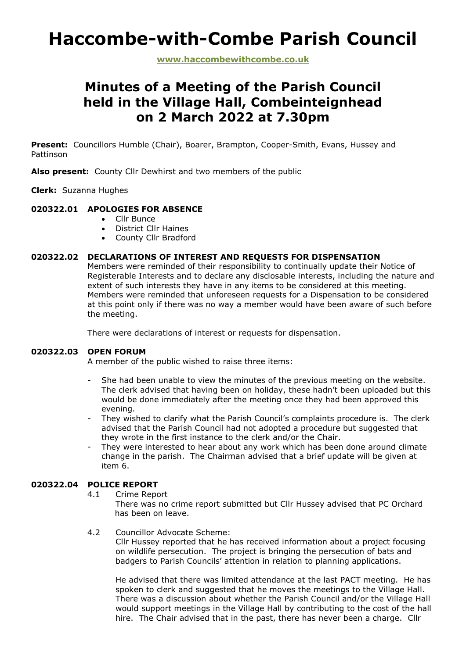# **Haccombe-with-Combe Parish Council**

**www.haccombewithcombe.co.uk**

# **Minutes of a Meeting of the Parish Council held in the Village Hall, Combeinteignhead on 2 March 2022 at 7.30pm**

**Present:** Councillors Humble (Chair), Boarer, Brampton, Cooper-Smith, Evans, Hussey and Pattinson

**Also present:** County Cllr Dewhirst and two members of the public

**Clerk:** Suzanna Hughes

# **020322.01 APOLOGIES FOR ABSENCE**

- Cllr Bunce
- District Cllr Haines
- County Cllr Bradford

# **020322.02 DECLARATIONS OF INTEREST AND REQUESTS FOR DISPENSATION**

Members were reminded of their responsibility to continually update their Notice of Registerable Interests and to declare any disclosable interests, including the nature and extent of such interests they have in any items to be considered at this meeting. Members were reminded that unforeseen requests for a Dispensation to be considered at this point only if there was no way a member would have been aware of such before the meeting.

There were declarations of interest or requests for dispensation.

# **020322.03 OPEN FORUM**

A member of the public wished to raise three items:

- She had been unable to view the minutes of the previous meeting on the website. The clerk advised that having been on holiday, these hadn't been uploaded but this would be done immediately after the meeting once they had been approved this evening.
- They wished to clarify what the Parish Council's complaints procedure is. The clerk advised that the Parish Council had not adopted a procedure but suggested that they wrote in the first instance to the clerk and/or the Chair.
- They were interested to hear about any work which has been done around climate change in the parish. The Chairman advised that a brief update will be given at item 6.

# **020322.04 POLICE REPORT**

4.1 Crime Report

There was no crime report submitted but Cllr Hussey advised that PC Orchard has been on leave.

4.2 Councillor Advocate Scheme:

Cllr Hussey reported that he has received information about a project focusing on wildlife persecution. The project is bringing the persecution of bats and badgers to Parish Councils' attention in relation to planning applications.

He advised that there was limited attendance at the last PACT meeting. He has spoken to clerk and suggested that he moves the meetings to the Village Hall. There was a discussion about whether the Parish Council and/or the Village Hall would support meetings in the Village Hall by contributing to the cost of the hall hire. The Chair advised that in the past, there has never been a charge. Cllr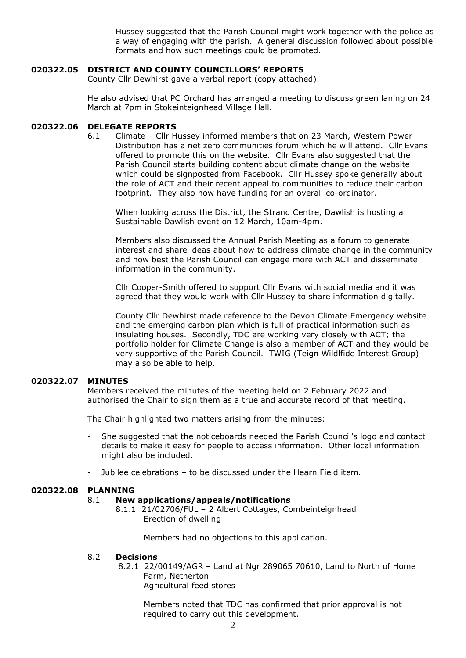Hussey suggested that the Parish Council might work together with the police as a way of engaging with the parish. A general discussion followed about possible formats and how such meetings could be promoted.

# **020322.05 DISTRICT AND COUNTY COUNCILLORS' REPORTS**

County Cllr Dewhirst gave a verbal report (copy attached).

He also advised that PC Orchard has arranged a meeting to discuss green laning on 24 March at 7pm in Stokeinteignhead Village Hall.

# **020322.06 DELEGATE REPORTS**

6.1 Climate – Cllr Hussey informed members that on 23 March, Western Power Distribution has a net zero communities forum which he will attend. Cllr Evans offered to promote this on the website. Cllr Evans also suggested that the Parish Council starts building content about climate change on the website which could be signposted from Facebook. Cllr Hussey spoke generally about the role of ACT and their recent appeal to communities to reduce their carbon footprint. They also now have funding for an overall co-ordinator.

When looking across the District, the Strand Centre, Dawlish is hosting a Sustainable Dawlish event on 12 March, 10am-4pm.

Members also discussed the Annual Parish Meeting as a forum to generate interest and share ideas about how to address climate change in the community and how best the Parish Council can engage more with ACT and disseminate information in the community.

Cllr Cooper-Smith offered to support Cllr Evans with social media and it was agreed that they would work with Cllr Hussey to share information digitally.

County Cllr Dewhirst made reference to the Devon Climate Emergency website and the emerging carbon plan which is full of practical information such as insulating houses. Secondly, TDC are working very closely with ACT; the portfolio holder for Climate Change is also a member of ACT and they would be very supportive of the Parish Council. TWIG (Teign Wildlfide Interest Group) may also be able to help.

# **020322.07 MINUTES**

Members received the minutes of the meeting held on 2 February 2022 and authorised the Chair to sign them as a true and accurate record of that meeting.

The Chair highlighted two matters arising from the minutes:

- She suggested that the noticeboards needed the Parish Council's logo and contact details to make it easy for people to access information. Other local information might also be included.
- Jubilee celebrations to be discussed under the Hearn Field item.

# **020322.08 PLANNING**

# 8.1 **New applications/appeals/notifications**

8.1.1 21/02706/FUL – 2 Albert Cottages, Combeinteignhead Erection of dwelling

Members had no objections to this application.

#### 8.2 **Decisions**

8.2.1 22/00149/AGR – Land at Ngr 289065 70610, Land to North of Home Farm, Netherton Agricultural feed stores

Members noted that TDC has confirmed that prior approval is not required to carry out this development.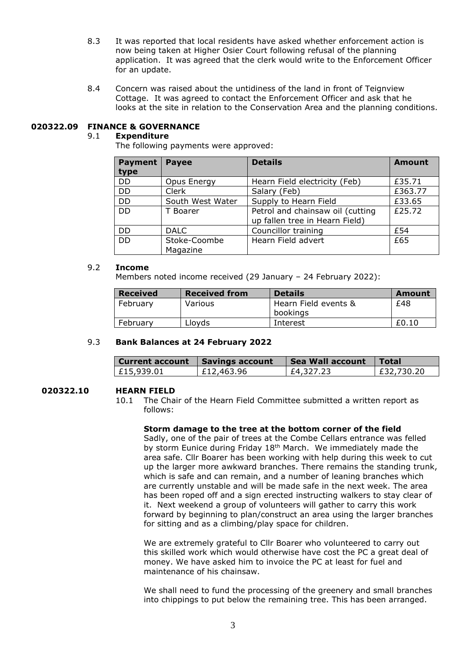- 8.3 It was reported that local residents have asked whether enforcement action is now being taken at Higher Osier Court following refusal of the planning application. It was agreed that the clerk would write to the Enforcement Officer for an update.
- 8.4 Concern was raised about the untidiness of the land in front of Teignview Cottage. It was agreed to contact the Enforcement Officer and ask that he looks at the site in relation to the Conservation Area and the planning conditions.

# **020322.09 FINANCE & GOVERNANCE**

# 9.1 **Expenditure**

The following payments were approved:

| <b>Payment</b><br>type | <b>Payee</b>             | <b>Details</b>                                                     | <b>Amount</b> |
|------------------------|--------------------------|--------------------------------------------------------------------|---------------|
| <b>DD</b>              | Opus Energy              | Hearn Field electricity (Feb)                                      | £35.71        |
| <b>DD</b>              | Clerk                    | Salary (Feb)                                                       | £363.77       |
| <b>DD</b>              | South West Water         | Supply to Hearn Field                                              | £33.65        |
| <b>DD</b>              | T Boarer                 | Petrol and chainsaw oil (cutting<br>up fallen tree in Hearn Field) | £25.72        |
| <b>DD</b>              | <b>DALC</b>              | Councillor training                                                | £54           |
| <b>DD</b>              | Stoke-Coombe<br>Magazine | Hearn Field advert                                                 | £65           |

#### 9.2 **Income**

Members noted income received (29 January – 24 February 2022):

| <b>Received</b> | <b>Received from</b> | <b>Details</b>       | Amount |
|-----------------|----------------------|----------------------|--------|
| February        | Various              | Hearn Field events & | £48    |
|                 |                      | bookings             |        |
| February        | Llovds               | Interest             | £0.10  |

#### 9.3 **Bank Balances at 24 February 2022**

| Current account   Savings account |            | Sea Wall account | <b>Total</b> |
|-----------------------------------|------------|------------------|--------------|
| E15,939.01                        | £12,463.96 | £4,327.23        | E32,730.20   |

# **020322.10 HEARN FIELD**

10.1 The Chair of the Hearn Field Committee submitted a written report as follows:

#### **Storm damage to the tree at the bottom corner of the field**

Sadly, one of the pair of trees at the Combe Cellars entrance was felled by storm Eunice during Friday 18<sup>th</sup> March. We immediately made the area safe. Cllr Boarer has been working with help during this week to cut up the larger more awkward branches. There remains the standing trunk, which is safe and can remain, and a number of leaning branches which are currently unstable and will be made safe in the next week. The area has been roped off and a sign erected instructing walkers to stay clear of it. Next weekend a group of volunteers will gather to carry this work forward by beginning to plan/construct an area using the larger branches for sitting and as a climbing/play space for children.

We are extremely grateful to Cllr Boarer who volunteered to carry out this skilled work which would otherwise have cost the PC a great deal of money. We have asked him to invoice the PC at least for fuel and maintenance of his chainsaw.

We shall need to fund the processing of the greenery and small branches into chippings to put below the remaining tree. This has been arranged.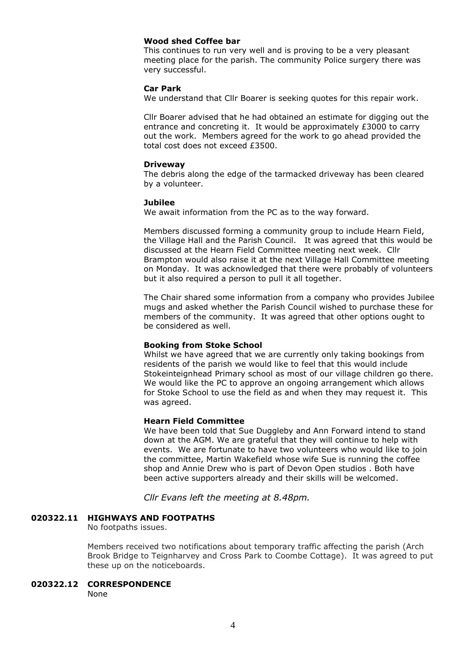# **Wood shed Coffee bar**

This continues to run very well and is proving to be a very pleasant meeting place for the parish. The community Police surgery there was very successful.

# **Car Park**

We understand that Cllr Boarer is seeking quotes for this repair work.

Cllr Boarer advised that he had obtained an estimate for digging out the entrance and concreting it. It would be approximately £3000 to carry out the work. Members agreed for the work to go ahead provided the total cost does not exceed £3500.

#### **Driveway**

The debris along the edge of the tarmacked driveway has been cleared by a volunteer.

#### **Jubilee**

We await information from the PC as to the way forward.

Members discussed forming a community group to include Hearn Field, the Village Hall and the Parish Council. It was agreed that this would be discussed at the Hearn Field Committee meeting next week. Cllr Brampton would also raise it at the next Village Hall Committee meeting on Monday. It was acknowledged that there were probably of volunteers but it also required a person to pull it all together.

The Chair shared some information from a company who provides Jubilee mugs and asked whether the Parish Council wished to purchase these for members of the community. It was agreed that other options ought to be considered as well.

# **Booking from Stoke School**

Whilst we have agreed that we are currently only taking bookings from residents of the parish we would like to feel that this would include Stokeinteignhead Primary school as most of our village children go there. We would like the PC to approve an ongoing arrangement which allows for Stoke School to use the field as and when they may request it. This was agreed.

#### **Hearn Field Committee**

We have been told that Sue Duggleby and Ann Forward intend to stand down at the AGM. We are grateful that they will continue to help with events. We are fortunate to have two volunteers who would like to join the committee, Martin Wakefield whose wife Sue is running the coffee shop and Annie Drew who is part of Devon Open studios . Both have been active supporters already and their skills will be welcomed.

*Cllr Evans left the meeting at 8.48pm.*

# **020322.11 HIGHWAYS AND FOOTPATHS**

No footpaths issues.

Members received two notifications about temporary traffic affecting the parish (Arch Brook Bridge to Teignharvey and Cross Park to Coombe Cottage). It was agreed to put these up on the noticeboards.

# **020322.12 CORRESPONDENCE**

None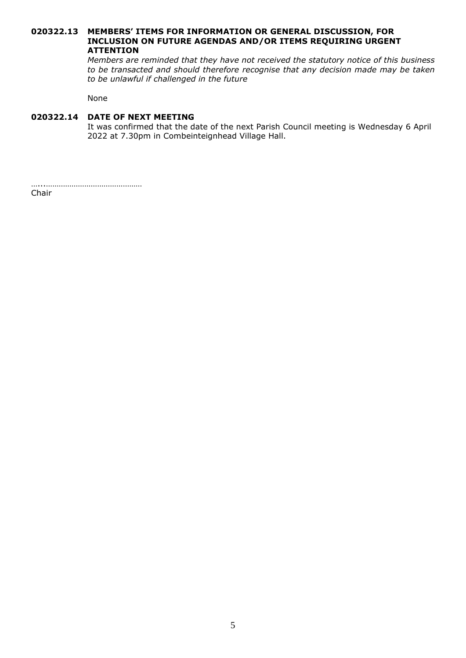### **020322.13 MEMBERS' ITEMS FOR INFORMATION OR GENERAL DISCUSSION, FOR INCLUSION ON FUTURE AGENDAS AND/OR ITEMS REQUIRING URGENT ATTENTION**

*Members are reminded that they have not received the statutory notice of this business to be transacted and should therefore recognise that any decision made may be taken to be unlawful if challenged in the future*

None

# **020322.14 DATE OF NEXT MEETING**

It was confirmed that the date of the next Parish Council meeting is Wednesday 6 April 2022 at 7.30pm in Combeinteignhead Village Hall.

…...………………………………………

Chair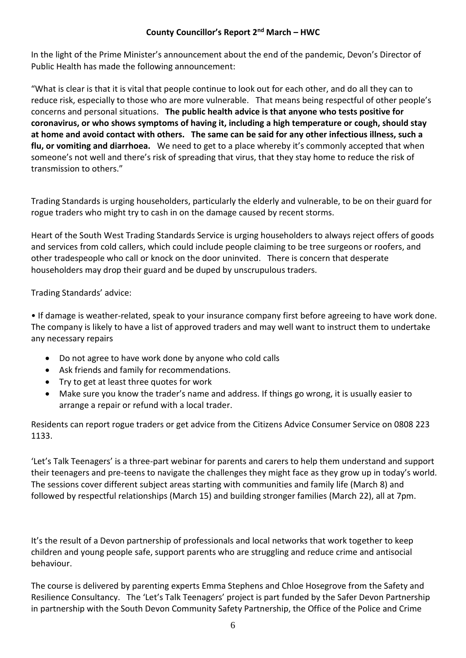In the light of the Prime Minister's announcement about the end of the pandemic, Devon's Director of Public Health has made the following announcement:

"What is clear is that it is vital that people continue to look out for each other, and do all they can to reduce risk, especially to those who are more vulnerable. That means being respectful of other people's concerns and personal situations. **The public health advice is that anyone who tests positive for coronavirus, or who shows symptoms of having it, including a high temperature or cough, should stay at home and avoid contact with others. The same can be said for any other infectious illness, such a flu, or vomiting and diarrhoea.** We need to get to a place whereby it's commonly accepted that when someone's not well and there's risk of spreading that virus, that they stay home to reduce the risk of transmission to others."

Trading Standards is urging householders, particularly the elderly and vulnerable, to be on their guard for rogue traders who might try to cash in on the damage caused by recent storms.

Heart of the South West Trading Standards Service is urging householders to always reject offers of goods and services from cold callers, which could include people claiming to be tree surgeons or roofers, and other tradespeople who call or knock on the door uninvited. There is concern that desperate householders may drop their guard and be duped by unscrupulous traders.

Trading Standards' advice:

• If damage is weather-related, speak to your insurance company first before agreeing to have work done. The company is likely to have a list of approved traders and may well want to instruct them to undertake any necessary repairs

- Do not agree to have work done by anyone who cold calls
- Ask friends and family for recommendations.
- Try to get at least three quotes for work
- Make sure you know the trader's name and address. If things go wrong, it is usually easier to arrange a repair or refund with a local trader.

Residents can report rogue traders or get advice from the Citizens Advice Consumer Service on 0808 223 1133.

'Let's Talk Teenagers' is a three-part webinar for parents and carers to help them understand and support their teenagers and pre-teens to navigate the challenges they might face as they grow up in today's world. The sessions cover different subject areas starting with communities and family life (March 8) and followed by respectful relationships (March 15) and building stronger families (March 22), all at 7pm.

It's the result of a Devon partnership of professionals and local networks that work together to keep children and young people safe, support parents who are struggling and reduce crime and antisocial behaviour.

The course is delivered by parenting experts Emma Stephens and Chloe Hosegrove from the Safety and Resilience Consultancy. The 'Let's Talk Teenagers' project is part funded by the Safer Devon Partnership in partnership with the South Devon Community Safety Partnership, the Office of the Police and Crime